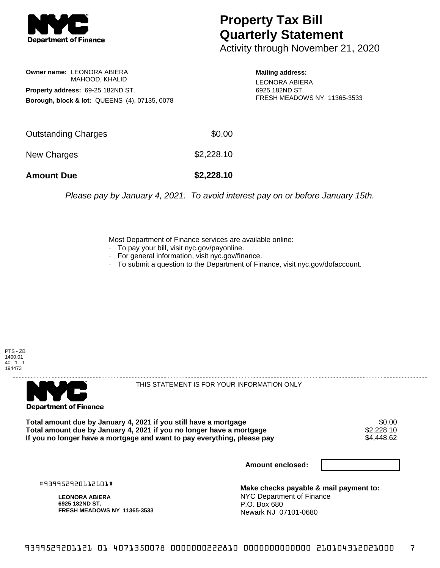

**Owner name:** LEONORA ABIERA

**Property address:** 69-25 182ND ST.

MAHOOD, KHALID

**Borough, block & lot:** QUEENS (4), 07135, 0078

## **Property Tax Bill Quarterly Statement**

Activity through November 21, 2020

## **Mailing address:**

LEONORA ABIERA 6925 182ND ST. FRESH MEADOWS NY 11365-3533

| <b>Amount Due</b>   | \$2,228.10 |
|---------------------|------------|
| New Charges         | \$2,228.10 |
| Outstanding Charges | \$0.00     |

Please pay by January 4, 2021. To avoid interest pay on or before January 15th.

Most Department of Finance services are available online:

- · To pay your bill, visit nyc.gov/payonline.
- For general information, visit nyc.gov/finance.
- · To submit a question to the Department of Finance, visit nyc.gov/dofaccount.

PTS - ZB 1400.01  $40 - 1 - 1$ 194473



THIS STATEMENT IS FOR YOUR INFORMATION ONLY

Total amount due by January 4, 2021 if you still have a mortgage \$0.00<br>Total amount due by January 4, 2021 if you no longer have a mortgage \$2.228.10 **Total amount due by January 4, 2021 if you no longer have a mortgage**  $$2,228.10$ **<br>If you no longer have a mortgage and want to pay everything, please pay**  $$4.448.62$ If you no longer have a mortgage and want to pay everything, please pay

**Amount enclosed:**

#939952920112101#

**LEONORA ABIERA 6925 182ND ST. FRESH MEADOWS NY 11365-3533**

**Make checks payable & mail payment to:** NYC Department of Finance P.O. Box 680 Newark NJ 07101-0680